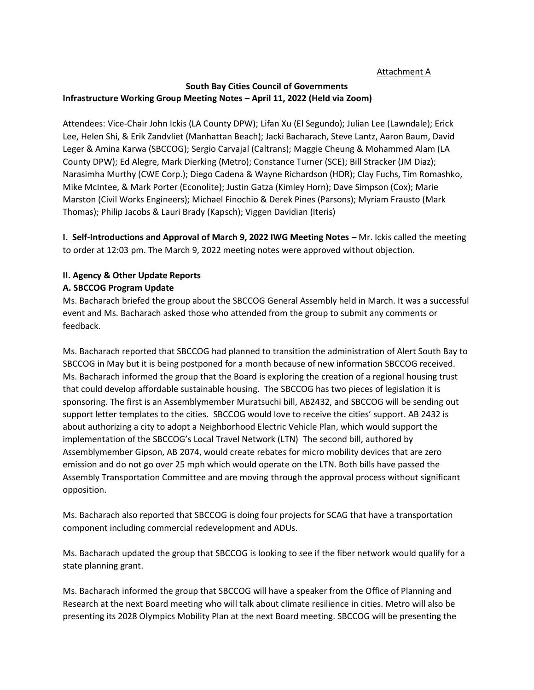#### Attachment A

## **South Bay Cities Council of Governments Infrastructure Working Group Meeting Notes – April 11, 2022 (Held via Zoom)**

Attendees: Vice-Chair John Ickis (LA County DPW); Lifan Xu (El Segundo); Julian Lee (Lawndale); Erick Lee, Helen Shi, & Erik Zandvliet (Manhattan Beach); Jacki Bacharach, Steve Lantz, Aaron Baum, David Leger & Amina Karwa (SBCCOG); Sergio Carvajal (Caltrans); Maggie Cheung & Mohammed Alam (LA County DPW); Ed Alegre, Mark Dierking (Metro); Constance Turner (SCE); Bill Stracker (JM Diaz); Narasimha Murthy (CWE Corp.); Diego Cadena & Wayne Richardson (HDR); Clay Fuchs, Tim Romashko, Mike McIntee, & Mark Porter (Econolite); Justin Gatza (Kimley Horn); Dave Simpson (Cox); Marie Marston (Civil Works Engineers); Michael Finochio & Derek Pines (Parsons); Myriam Frausto (Mark Thomas); Philip Jacobs & Lauri Brady (Kapsch); Viggen Davidian (Iteris)

**I. Self-Introductions and Approval of March 9, 2022 IWG Meeting Notes – Mr. Ickis called the meeting** to order at 12:03 pm. The March 9, 2022 meeting notes were approved without objection.

# **II. Agency & Other Update Reports**

#### **A. SBCCOG Program Update**

Ms. Bacharach briefed the group about the SBCCOG General Assembly held in March. It was a successful event and Ms. Bacharach asked those who attended from the group to submit any comments or feedback.

Ms. Bacharach reported that SBCCOG had planned to transition the administration of Alert South Bay to SBCCOG in May but it is being postponed for a month because of new information SBCCOG received. Ms. Bacharach informed the group that the Board is exploring the creation of a regional housing trust that could develop affordable sustainable housing. The SBCCOG has two pieces of legislation it is sponsoring. The first is an Assemblymember Muratsuchi bill, AB2432, and SBCCOG will be sending out support letter templates to the cities. SBCCOG would love to receive the cities' support. AB 2432 is about authorizing a city to adopt a Neighborhood Electric Vehicle Plan, which would support the implementation of the SBCCOG's Local Travel Network (LTN) The second bill, authored by Assemblymember Gipson, AB 2074, would create rebates for micro mobility devices that are zero emission and do not go over 25 mph which would operate on the LTN. Both bills have passed the Assembly Transportation Committee and are moving through the approval process without significant opposition.

Ms. Bacharach also reported that SBCCOG is doing four projects for SCAG that have a transportation component including commercial redevelopment and ADUs.

Ms. Bacharach updated the group that SBCCOG is looking to see if the fiber network would qualify for a state planning grant.

Ms. Bacharach informed the group that SBCCOG will have a speaker from the Office of Planning and Research at the next Board meeting who will talk about climate resilience in cities. Metro will also be presenting its 2028 Olympics Mobility Plan at the next Board meeting. SBCCOG will be presenting the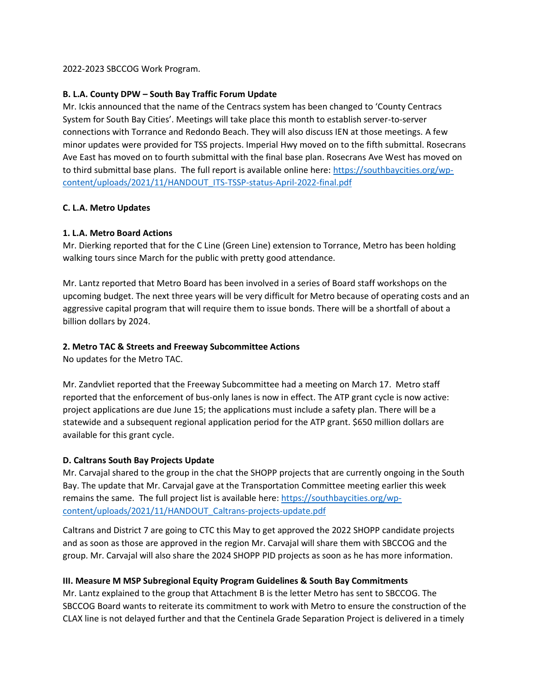2022-2023 SBCCOG Work Program.

#### **B. L.A. County DPW – South Bay Traffic Forum Update**

Mr. Ickis announced that the name of the Centracs system has been changed to 'County Centracs System for South Bay Cities'. Meetings will take place this month to establish server-to-server connections with Torrance and Redondo Beach. They will also discuss IEN at those meetings. A few minor updates were provided for TSS projects. Imperial Hwy moved on to the fifth submittal. Rosecrans Ave East has moved on to fourth submittal with the final base plan. Rosecrans Ave West has moved on to third submittal base plans. The full report is available online here: [https://southbaycities.org/wp](https://southbaycities.org/wp-content/uploads/2021/11/HANDOUT_ITS-TSSP-status-April-2022-final.pdf)[content/uploads/2021/11/HANDOUT\\_ITS-TSSP-status-April-2022-final.pdf](https://southbaycities.org/wp-content/uploads/2021/11/HANDOUT_ITS-TSSP-status-April-2022-final.pdf)

#### **C. L.A. Metro Updates**

#### **1. L.A. Metro Board Actions**

Mr. Dierking reported that for the C Line (Green Line) extension to Torrance, Metro has been holding walking tours since March for the public with pretty good attendance.

Mr. Lantz reported that Metro Board has been involved in a series of Board staff workshops on the upcoming budget. The next three years will be very difficult for Metro because of operating costs and an aggressive capital program that will require them to issue bonds. There will be a shortfall of about a billion dollars by 2024.

#### **2. Metro TAC & Streets and Freeway Subcommittee Actions**

No updates for the Metro TAC.

Mr. Zandvliet reported that the Freeway Subcommittee had a meeting on March 17. Metro staff reported that the enforcement of bus-only lanes is now in effect. The ATP grant cycle is now active: project applications are due June 15; the applications must include a safety plan. There will be a statewide and a subsequent regional application period for the ATP grant. \$650 million dollars are available for this grant cycle.

#### **D. Caltrans South Bay Projects Update**

Mr. Carvajal shared to the group in the chat the SHOPP projects that are currently ongoing in the South Bay. The update that Mr. Carvajal gave at the Transportation Committee meeting earlier this week remains the same. The full project list is available here[: https://southbaycities.org/wp](https://southbaycities.org/wp-content/uploads/2021/11/HANDOUT_Caltrans-projects-update.pdf)[content/uploads/2021/11/HANDOUT\\_Caltrans-projects-update.pdf](https://southbaycities.org/wp-content/uploads/2021/11/HANDOUT_Caltrans-projects-update.pdf)

Caltrans and District 7 are going to CTC this May to get approved the 2022 SHOPP candidate projects and as soon as those are approved in the region Mr. Carvajal will share them with SBCCOG and the group. Mr. Carvajal will also share the 2024 SHOPP PID projects as soon as he has more information.

## **III. Measure M MSP Subregional Equity Program Guidelines & South Bay Commitments**

Mr. Lantz explained to the group that Attachment B is the letter Metro has sent to SBCCOG. The SBCCOG Board wants to reiterate its commitment to work with Metro to ensure the construction of the CLAX line is not delayed further and that the Centinela Grade Separation Project is delivered in a timely